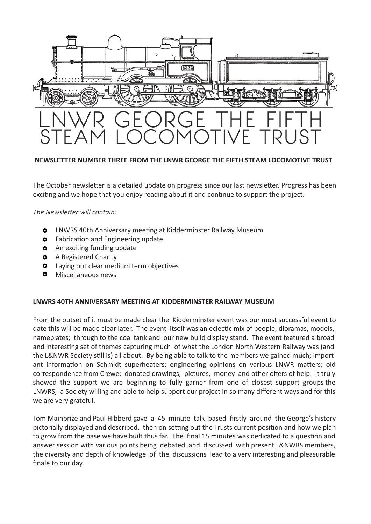

## **NEWSLETTER NUMBER THREE FROM THE LNWR GEORGE THE FIFTH STEAM LOCOMOTIVE TRUST**

The October newsletter is a detailed update on progress since our last newsletter. Progress has been exciting and we hope that you enjoy reading about it and continue to support the project.

*The Newsletter will contain:*

- **O** LNWRS 40th Anniversary meeting at Kidderminster Railway Museum
- **o** Fabrication and Engineering update
- **O** An exciting funding update
- **O** A Registered Charity
- **o** Laying out clear medium term objectives
- **O** Miscellaneous news

## **LNWRS 40TH ANNIVERSARY MEETING AT KIDDERMINSTER RAILWAY MUSEUM**

From the outset of it must be made clear the Kidderminster event was our most successful event to date this will be made clear later. The event itself was an eclectic mix of people, dioramas, models, nameplates; through to the coal tank and our new build display stand. The event featured a broad and interesting set of themes capturing much of what the London North Western Railway was (and the L&NWR Society still is) all about. By being able to talk to the members we gained much; important information on Schmidt superheaters; engineering opinions on various LNWR matters; old correspondence from Crewe; donated drawings, pictures, money and other offers of help. It truly showed the support we are beginning to fully garner from one of closest support groups the LNWRS, a Society willing and able to help support our project in so many different ways and for this we are very grateful.

Tom Mainprize and Paul Hibberd gave a 45 minute talk based firstly around the George's history pictorially displayed and described, then on setting out the Trusts current position and how we plan to grow from the base we have built thus far. The final 15 minutes was dedicated to a question and answer session with various points being debated and discussed with present L&NWRS members, the diversity and depth of knowledge of the discussions lead to a very interesting and pleasurable finale to our day.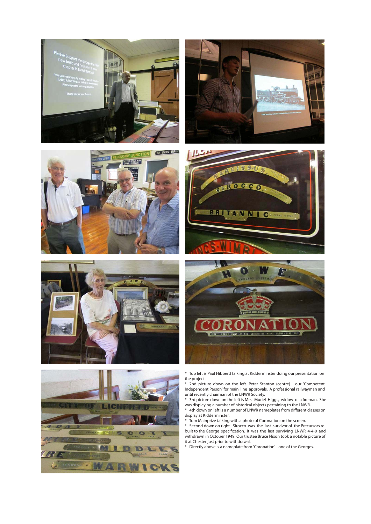













\* 2nd picture down on the left. Peter Stanton (centre) - our 'Competent Independent Person' for main line approvals. A professional railwayman and until recently chairman of the LNWR Society.

\* 3rd picture down on the left is Mrs. Muriel Higgs, widow of a fireman. She was displaying a number of historical objects pertaining to the LNWR.

\* 4th down on left is a number of LNWR nameplates from different classes on display at Kidderminster.

\* Tom Mainprize talking with a photo of Coronation on the screen.

\* Second down on right - Sirocco was the last survivor of the Precursors rebuilt to the George specification. It was the last surviving LNWR 4-4-0 and withdrawn in October 1949. Our trustee Bruce Nixon took a notable picture of it at Chester just prior to withdrawal.

\* Directly above is a nameplate from 'Coronation' - one of the Georges.

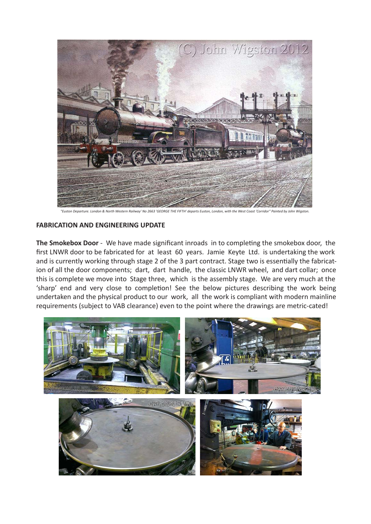

*"Euston Departure. London & North Western Railway' No 2663 'GEORGE THE FIFTH' departs Euston, London, with the West Coast 'Corridor" Painted by John Wigston.*

## **FABRICATION AND ENGINEERING UPDATE**

**The Smokebox Door** - We have made significant inroads in to completing the smokebox door, the first LNWR door to be fabricated for at least 60 years. Jamie Keyte Ltd. is undertaking the work and is currently working through stage 2 of the 3 part contract. Stage two is essentially the fabrication of all the door components; dart, dart handle, the classic LNWR wheel, and dart collar; once this is complete we move into Stage three, which is the assembly stage. We are very much at the 'sharp' end and very close to completion! See the below pictures describing the work being undertaken and the physical product to our work, all the work is compliant with modern mainline requirements (subject to VAB clearance) even to the point where the drawings are metric-cated!

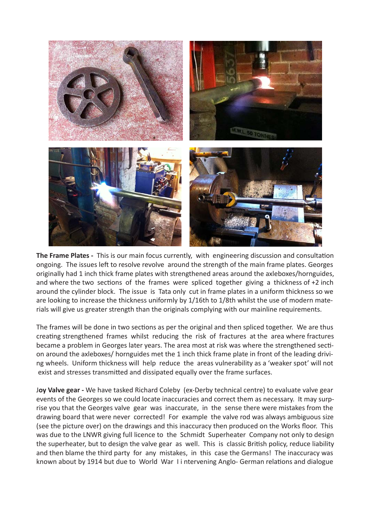

**The Frame Plates -** This is our main focus currently, with engineering discussion and consultation ongoing. The issues left to resolve revolve around the strength of the main frame plates. Georges originally had 1 inch thick frame plates with strengthened areas around the axleboxes/hornguides, and where the two sections of the frames were spliced together giving a thickness of +2 inch around the cylinder block. The issue is Tata only cut in frame plates in a uniform thickness so we are looking to increase the thickness uniformly by 1/16th to 1/8th whilst the use of modern materials will give us greater strength than the originals complying with our mainline requirements.

The frames will be done in two sections as per the original and then spliced together. We are thus creating strengthened frames whilst reducing the risk of fractures at the area where fractures became a problem in Georges later years. The area most at risk was where the strengthened section around the axleboxes/ hornguides met the 1 inch thick frame plate in front of the leading driving wheels. Uniform thickness will help reduce the areas vulnerability as a 'weaker spot' will not exist and stresses transmitted and dissipated equally over the frame surfaces.

J**oy Valve gear -** We have tasked Richard Coleby (ex-Derby technical centre) to evaluate valve gear events of the Georges so we could locate inaccuracies and correct them as necessary. It may surprise you that the Georges valve gear was inaccurate, in the sense there were mistakes from the drawing board that were never corrected! For example the valve rod was always ambiguous size (see the picture over) on the drawings and this inaccuracy then produced on the Works floor. This was due to the LNWR giving full licence to the Schmidt Superheater Company not only to design the superheater, but to design the valve gear as well. This is classic British policy, reduce liability and then blame the third party for any mistakes, in this case the Germans! The inaccuracy was known about by 1914 but due to World War I i ntervening Anglo- German relations and dialogue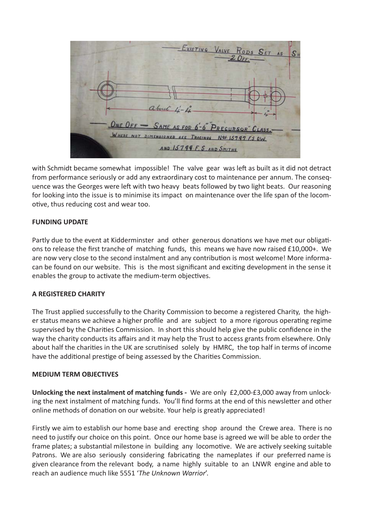| - EXISTING VALVE RODS SET AS<br>$S_H$                                                |
|--------------------------------------------------------------------------------------|
|                                                                                      |
| about 4-4<br>ONE OFF - SAME AS FOR 6-6" PRECURSOR" CLASS.                            |
| WHERE NOT DIMENSIONED SEE TRACINOS NOS 15797 F.S. O.W.<br>AND 15799 F. S. AND SMITHS |

with Schmidt became somewhat impossible! The valve gear was left as built as it did not detract from performance seriously or add any extraordinary cost to maintenance per annum. The consequence was the Georges were left with two heavy beats followed by two light beats. Our reasoning for looking into the issue is to minimise its impact on maintenance over the life span of the locomotive, thus reducing cost and wear too.

# **FUNDING UPDATE**

Partly due to the event at Kidderminster and other generous donations we have met our obligations to release the first tranche of matching funds, this means we have now raised £10,000+. We are now very close to the second instalment and any contribution is most welcome! More informacan be found on our website. This is the most significant and exciting development in the sense it enables the group to activate the medium-term objectives.

## **A REGISTERED CHARITY**

The Trust applied successfully to the Charity Commission to become a registered Charity, the higher status means we achieve a higher profile and are subject to a more rigorous operating regime supervised by the Charities Commission. In short this should help give the public confidence in the way the charity conducts its affairs and it may help the Trust to access grants from elsewhere. Only about half the charities in the UK are scrutinised solely by HMRC, the top half in terms of income have the additional prestige of being assessed by the Charities Commission.

## **MEDIUM TERM OBJECTIVES**

**Unlocking the next instalment of matching funds -** We are only £2,000-£3,000 away from unlocking the next instalment of matching funds. You'll find forms at the end of this newsletter and other online methods of donation on our website. Your help is greatly appreciated!

Firstly we aim to establish our home base and erecting shop around the Crewe area. There is no need to justify our choice on this point. Once our home base is agreed we will be able to order the frame plates; a substantial milestone in building any locomotive. We are actively seeking suitable Patrons. We are also seriously considering fabricating the nameplates if our preferred name is given clearance from the relevant body, a name highly suitable to an LNWR engine and able to reach an audience much like 5551 '*The Unknown Warrior*'.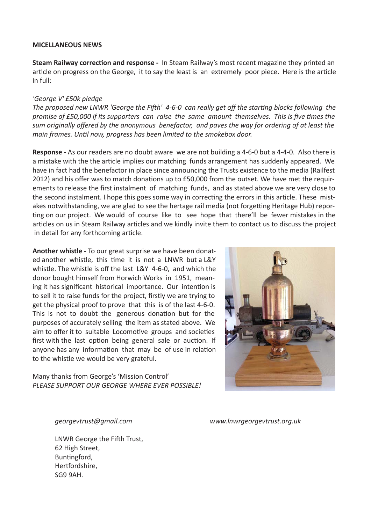## **MICELLANEOUS NEWS**

**Steam Railway correction and response -** In Steam Railway's most recent magazine they printed an article on progress on the George, it to say the least is an extremely poor piece. Here is the article in full:

## *'George V' £50k pledge*

*The proposed new LNWR 'George the Fifth' 4-6-0 can really get off the starting blocks following the promise of £50,000 if its supporters can raise the same amount themselves. This is five times the sum originally offered by the anonymous benefactor, and paves the way for ordering of at least the main frames. Until now, progress has been limited to the smokebox door.*

**Response -** As our readers are no doubt aware we are not building a 4-6-0 but a 4-4-0. Also there is a mistake with the the article implies our matching funds arrangement has suddenly appeared. We have in fact had the benefactor in place since announcing the Trusts existence to the media (Railfest 2012) and his offer was to match donations up to £50,000 from the outset. We have met the requirements to release the first instalment of matching funds, and as stated above we are very close to the second instalment. I hope this goes some way in correcting the errors in this article. These mistakes notwithstanding, we are glad to see the hertage rail media (not forgetting Heritage Hub) reporting on our project. We would of course like to see hope that there'll be fewer mistakes in the articles on us in Steam Railway articles and we kindly invite them to contact us to discuss the project in detail for any forthcoming article.

**Another whistle -** To our great surprise we have been donated another whistle, this time it is not a LNWR but a L&Y whistle. The whistle is off the last L&Y 4-6-0, and which the donor bought himself from Horwich Works in 1951, meaning it has significant historical importance. Our intention is to sell it to raise funds for the project, firstly we are trying to get the physical proof to prove that this is of the last 4-6-0. This is not to doubt the generous donation but for the purposes of accurately selling the item as stated above. We aim to offer it to suitable Locomotive groups and societies first with the last option being general sale or auction. If anyone has any information that may be of use in relation to the whistle we would be very grateful.

Many thanks from George's 'Mission Control' *PLEASE SUPPORT OUR GEORGE WHERE EVER POSSIBLE!*



 *georgevtrust@gmail.com www.lnwrgeorgevtrust.org.uk*

 LNWR George the Fifth Trust, 62 High Street, Buntingford, Hertfordshire, SG9 9AH.